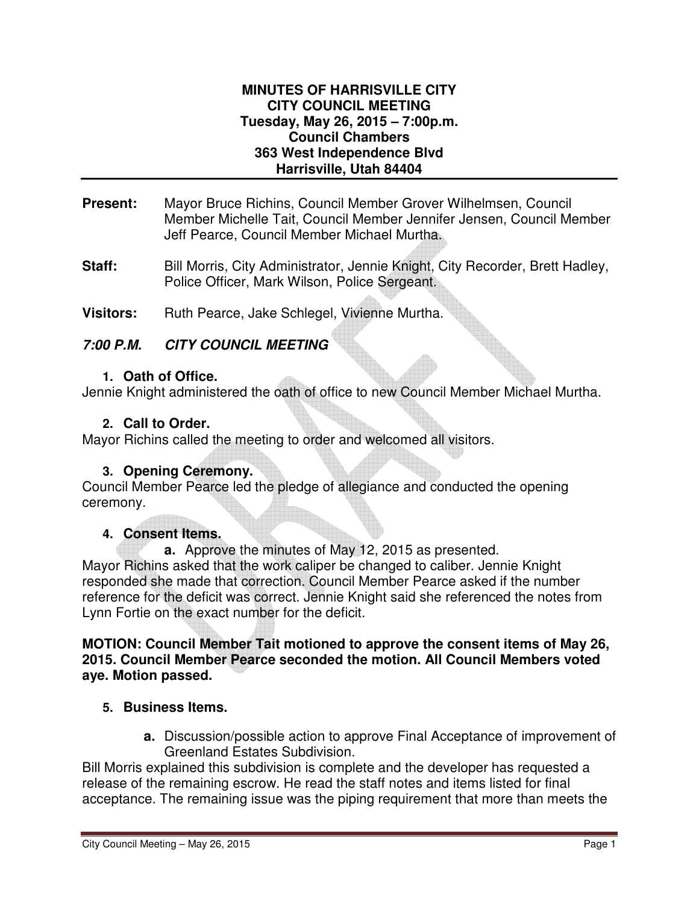#### **MINUTES OF HARRISVILLE CITY CITY COUNCIL MEETING Tuesday, May 26, 2015 – 7:00p.m. Council Chambers 363 West Independence Blvd Harrisville, Utah 84404**

- **Present:** Mayor Bruce Richins, Council Member Grover Wilhelmsen, Council Member Michelle Tait, Council Member Jennifer Jensen, Council Member Jeff Pearce, Council Member Michael Murtha.
- Staff: Bill Morris, City Administrator, Jennie Knight, City Recorder, Brett Hadley, Police Officer, Mark Wilson, Police Sergeant.
- Visitors: Ruth Pearce, Jake Schlegel, Vivienne Murtha.

# **7:00 P.M. CITY COUNCIL MEETING**

### **1. Oath of Office.**

Jennie Knight administered the oath of office to new Council Member Michael Murtha.

### **2. Call to Order.**

Mayor Richins called the meeting to order and welcomed all visitors.

### **3. Opening Ceremony.**

Council Member Pearce led the pledge of allegiance and conducted the opening ceremony.

### **4. Consent Items.**

**a.** Approve the minutes of May 12, 2015 as presented. Mayor Richins asked that the work caliper be changed to caliber. Jennie Knight responded she made that correction. Council Member Pearce asked if the number reference for the deficit was correct. Jennie Knight said she referenced the notes from Lynn Fortie on the exact number for the deficit.

**MOTION: Council Member Tait motioned to approve the consent items of May 26, 2015. Council Member Pearce seconded the motion. All Council Members voted aye. Motion passed.** 

### **5. Business Items.**

**a.** Discussion/possible action to approve Final Acceptance of improvement of Greenland Estates Subdivision.

Bill Morris explained this subdivision is complete and the developer has requested a release of the remaining escrow. He read the staff notes and items listed for final acceptance. The remaining issue was the piping requirement that more than meets the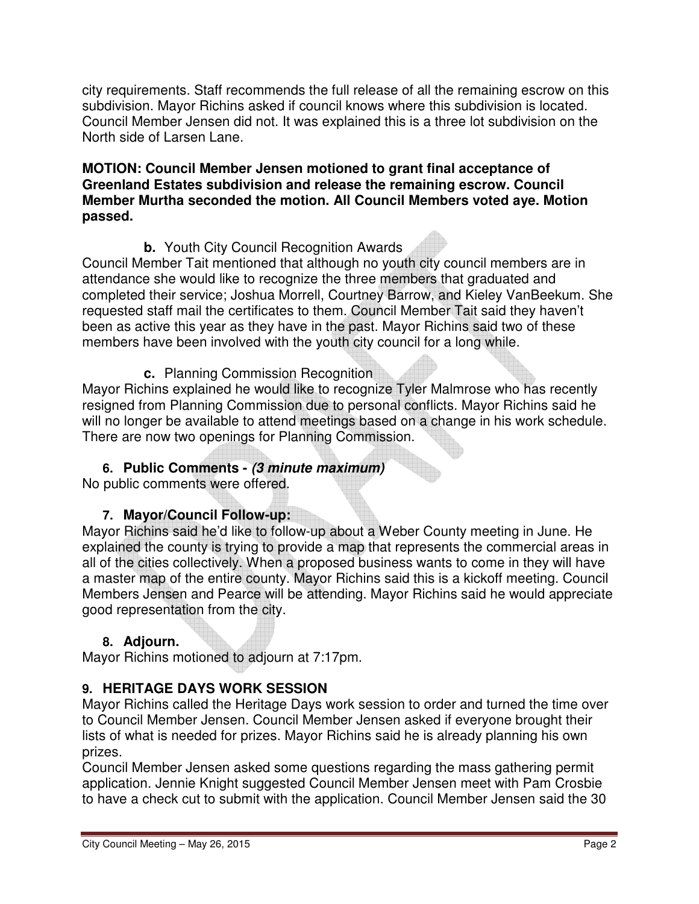city requirements. Staff recommends the full release of all the remaining escrow on this subdivision. Mayor Richins asked if council knows where this subdivision is located. Council Member Jensen did not. It was explained this is a three lot subdivision on the North side of Larsen Lane.

### **MOTION: Council Member Jensen motioned to grant final acceptance of Greenland Estates subdivision and release the remaining escrow. Council Member Murtha seconded the motion. All Council Members voted aye. Motion passed.**

# **b.** Youth City Council Recognition Awards

Council Member Tait mentioned that although no youth city council members are in attendance she would like to recognize the three members that graduated and completed their service; Joshua Morrell, Courtney Barrow, and Kieley VanBeekum. She requested staff mail the certificates to them. Council Member Tait said they haven't been as active this year as they have in the past. Mayor Richins said two of these members have been involved with the youth city council for a long while.

**c.** Planning Commission Recognition

Mayor Richins explained he would like to recognize Tyler Malmrose who has recently resigned from Planning Commission due to personal conflicts. Mayor Richins said he will no longer be available to attend meetings based on a change in his work schedule. There are now two openings for Planning Commission.

# **6. Public Comments - (3 minute maximum)**

No public comments were offered.

# **7. Mayor/Council Follow-up:**

Mayor Richins said he'd like to follow-up about a Weber County meeting in June. He explained the county is trying to provide a map that represents the commercial areas in all of the cities collectively. When a proposed business wants to come in they will have a master map of the entire county. Mayor Richins said this is a kickoff meeting. Council Members Jensen and Pearce will be attending. Mayor Richins said he would appreciate good representation from the city.

### **8. Adjourn.**

Mayor Richins motioned to adjourn at 7:17pm.

# **9. HERITAGE DAYS WORK SESSION**

Mayor Richins called the Heritage Days work session to order and turned the time over to Council Member Jensen. Council Member Jensen asked if everyone brought their lists of what is needed for prizes. Mayor Richins said he is already planning his own prizes.

Council Member Jensen asked some questions regarding the mass gathering permit application. Jennie Knight suggested Council Member Jensen meet with Pam Crosbie to have a check cut to submit with the application. Council Member Jensen said the 30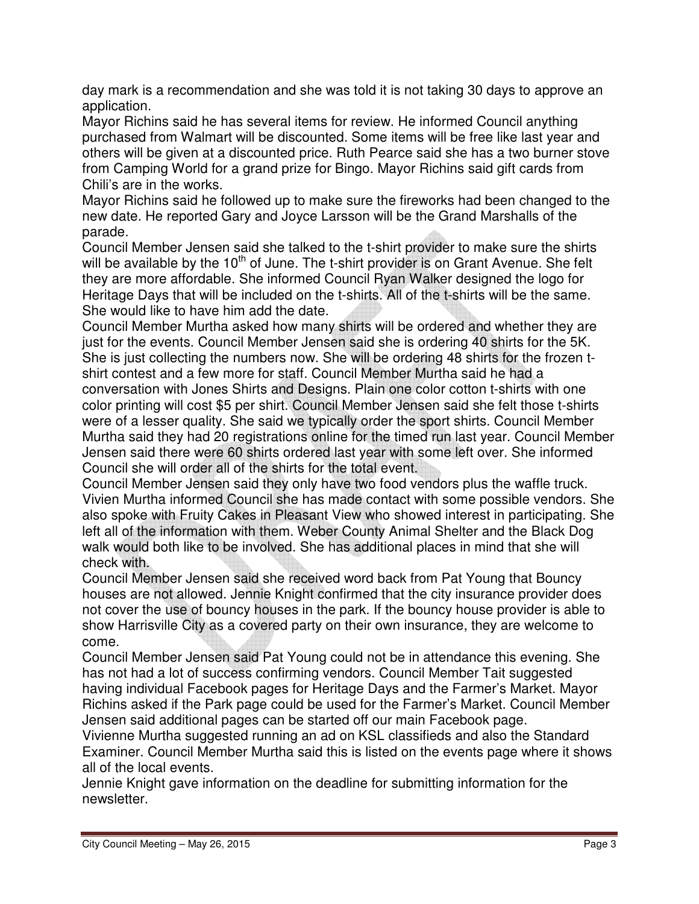day mark is a recommendation and she was told it is not taking 30 days to approve an application.

Mayor Richins said he has several items for review. He informed Council anything purchased from Walmart will be discounted. Some items will be free like last year and others will be given at a discounted price. Ruth Pearce said she has a two burner stove from Camping World for a grand prize for Bingo. Mayor Richins said gift cards from Chili's are in the works.

Mayor Richins said he followed up to make sure the fireworks had been changed to the new date. He reported Gary and Joyce Larsson will be the Grand Marshalls of the parade.

Council Member Jensen said she talked to the t-shirt provider to make sure the shirts will be available by the  $10<sup>th</sup>$  of June. The t-shirt provider is on Grant Avenue. She felt they are more affordable. She informed Council Ryan Walker designed the logo for Heritage Days that will be included on the t-shirts. All of the t-shirts will be the same. She would like to have him add the date.

Council Member Murtha asked how many shirts will be ordered and whether they are just for the events. Council Member Jensen said she is ordering 40 shirts for the 5K. She is just collecting the numbers now. She will be ordering 48 shirts for the frozen tshirt contest and a few more for staff. Council Member Murtha said he had a conversation with Jones Shirts and Designs. Plain one color cotton t-shirts with one color printing will cost \$5 per shirt. Council Member Jensen said she felt those t-shirts were of a lesser quality. She said we typically order the sport shirts. Council Member Murtha said they had 20 registrations online for the timed run last year. Council Member Jensen said there were 60 shirts ordered last year with some left over. She informed Council she will order all of the shirts for the total event.

Council Member Jensen said they only have two food vendors plus the waffle truck. Vivien Murtha informed Council she has made contact with some possible vendors. She also spoke with Fruity Cakes in Pleasant View who showed interest in participating. She left all of the information with them. Weber County Animal Shelter and the Black Dog walk would both like to be involved. She has additional places in mind that she will check with.

Council Member Jensen said she received word back from Pat Young that Bouncy houses are not allowed. Jennie Knight confirmed that the city insurance provider does not cover the use of bouncy houses in the park. If the bouncy house provider is able to show Harrisville City as a covered party on their own insurance, they are welcome to come.

Council Member Jensen said Pat Young could not be in attendance this evening. She has not had a lot of success confirming vendors. Council Member Tait suggested having individual Facebook pages for Heritage Days and the Farmer's Market. Mayor Richins asked if the Park page could be used for the Farmer's Market. Council Member Jensen said additional pages can be started off our main Facebook page.

Vivienne Murtha suggested running an ad on KSL classifieds and also the Standard Examiner. Council Member Murtha said this is listed on the events page where it shows all of the local events.

Jennie Knight gave information on the deadline for submitting information for the newsletter.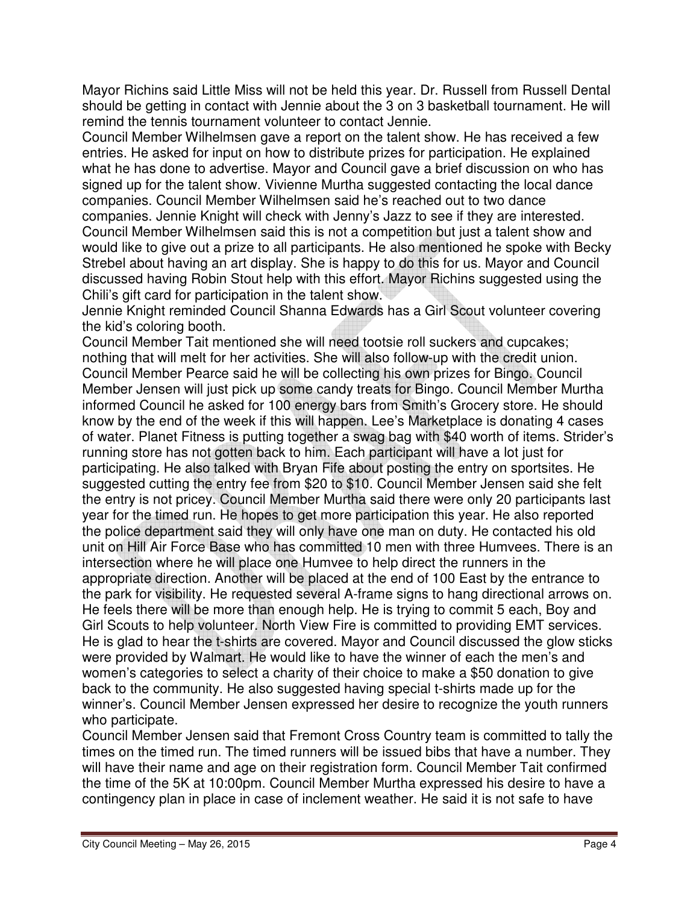Mayor Richins said Little Miss will not be held this year. Dr. Russell from Russell Dental should be getting in contact with Jennie about the 3 on 3 basketball tournament. He will remind the tennis tournament volunteer to contact Jennie.

Council Member Wilhelmsen gave a report on the talent show. He has received a few entries. He asked for input on how to distribute prizes for participation. He explained what he has done to advertise. Mayor and Council gave a brief discussion on who has signed up for the talent show. Vivienne Murtha suggested contacting the local dance companies. Council Member Wilhelmsen said he's reached out to two dance companies. Jennie Knight will check with Jenny's Jazz to see if they are interested. Council Member Wilhelmsen said this is not a competition but just a talent show and would like to give out a prize to all participants. He also mentioned he spoke with Becky Strebel about having an art display. She is happy to do this for us. Mayor and Council discussed having Robin Stout help with this effort. Mayor Richins suggested using the Chili's gift card for participation in the talent show.

Jennie Knight reminded Council Shanna Edwards has a Girl Scout volunteer covering the kid's coloring booth.

Council Member Tait mentioned she will need tootsie roll suckers and cupcakes; nothing that will melt for her activities. She will also follow-up with the credit union. Council Member Pearce said he will be collecting his own prizes for Bingo. Council Member Jensen will just pick up some candy treats for Bingo. Council Member Murtha informed Council he asked for 100 energy bars from Smith's Grocery store. He should know by the end of the week if this will happen. Lee's Marketplace is donating 4 cases of water. Planet Fitness is putting together a swag bag with \$40 worth of items. Strider's running store has not gotten back to him. Each participant will have a lot just for participating. He also talked with Bryan Fife about posting the entry on sportsites. He suggested cutting the entry fee from \$20 to \$10. Council Member Jensen said she felt the entry is not pricey. Council Member Murtha said there were only 20 participants last year for the timed run. He hopes to get more participation this year. He also reported the police department said they will only have one man on duty. He contacted his old unit on Hill Air Force Base who has committed 10 men with three Humvees. There is an intersection where he will place one Humvee to help direct the runners in the appropriate direction. Another will be placed at the end of 100 East by the entrance to the park for visibility. He requested several A-frame signs to hang directional arrows on. He feels there will be more than enough help. He is trying to commit 5 each, Boy and Girl Scouts to help volunteer. North View Fire is committed to providing EMT services. He is glad to hear the t-shirts are covered. Mayor and Council discussed the glow sticks were provided by Walmart. He would like to have the winner of each the men's and women's categories to select a charity of their choice to make a \$50 donation to give back to the community. He also suggested having special t-shirts made up for the winner's. Council Member Jensen expressed her desire to recognize the youth runners who participate.

Council Member Jensen said that Fremont Cross Country team is committed to tally the times on the timed run. The timed runners will be issued bibs that have a number. They will have their name and age on their registration form. Council Member Tait confirmed the time of the 5K at 10:00pm. Council Member Murtha expressed his desire to have a contingency plan in place in case of inclement weather. He said it is not safe to have